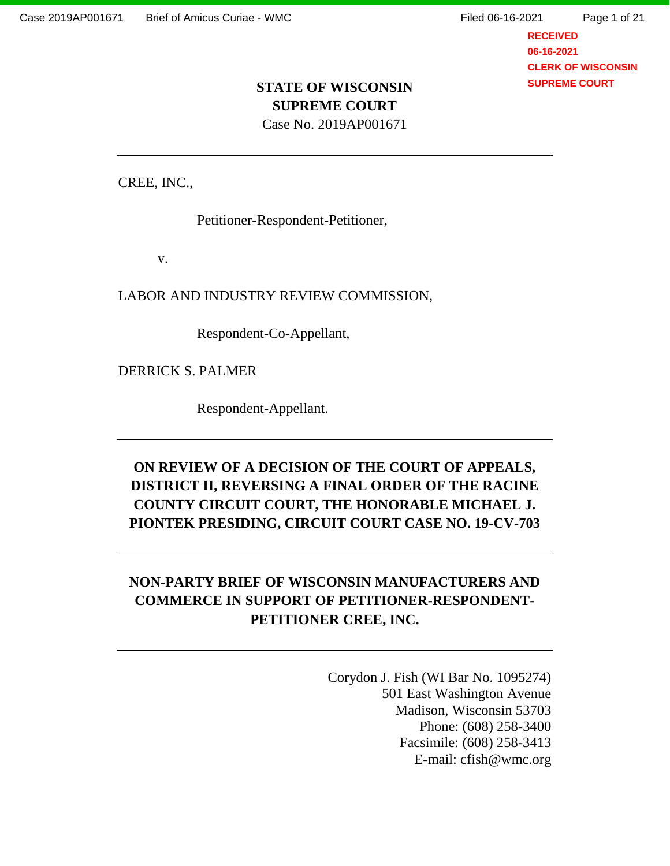**RECEIVED 06-16-2021 CLERK OF WISCONSIN SUPREME COURT**

# **STATE OF WISCONSIN SUPREME COURT**

Case No. 2019AP001671

CREE, INC.,

Petitioner-Respondent-Petitioner,

v.

LABOR AND INDUSTRY REVIEW COMMISSION,

Respondent-Co-Appellant,

DERRICK S. PALMER

Respondent-Appellant.

## **ON REVIEW OF A DECISION OF THE COURT OF APPEALS, DISTRICT II, REVERSING A FINAL ORDER OF THE RACINE COUNTY CIRCUIT COURT, THE HONORABLE MICHAEL J. PIONTEK PRESIDING, CIRCUIT COURT CASE NO. 19-CV-703**

## **NON-PARTY BRIEF OF WISCONSIN MANUFACTURERS AND COMMERCE IN SUPPORT OF PETITIONER-RESPONDENT-PETITIONER CREE, INC.**

Corydon J. Fish (WI Bar No. 1095274) 501 East Washington Avenue Madison, Wisconsin 53703 Phone: (608) 258-3400 Facsimile: (608) 258-3413 E-mail: cfish@wmc.org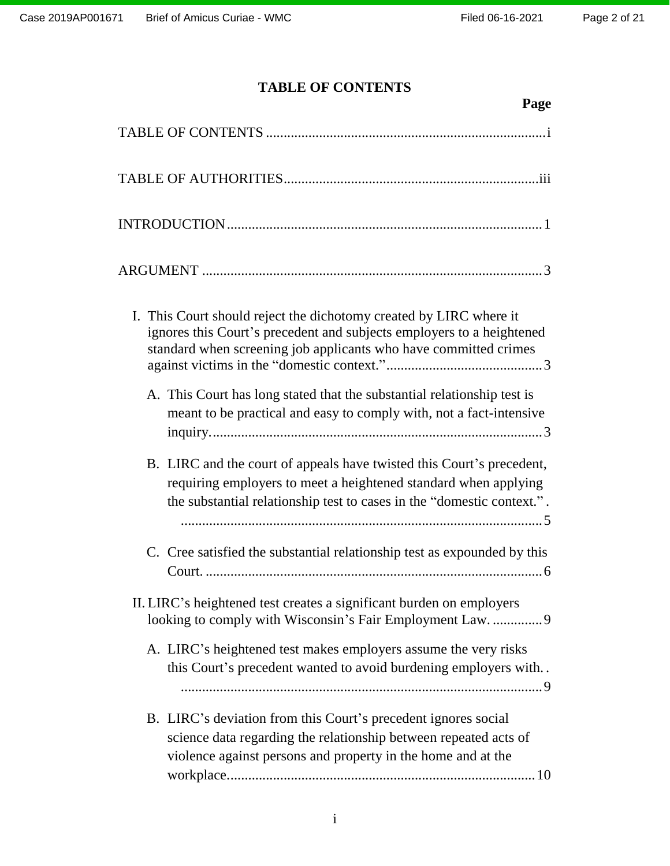## **TABLE OF CONTENTS**

<span id="page-1-0"></span>

| Page                                                                                                                                                                                                               |
|--------------------------------------------------------------------------------------------------------------------------------------------------------------------------------------------------------------------|
|                                                                                                                                                                                                                    |
|                                                                                                                                                                                                                    |
|                                                                                                                                                                                                                    |
|                                                                                                                                                                                                                    |
| I. This Court should reject the dichotomy created by LIRC where it<br>ignores this Court's precedent and subjects employers to a heightened<br>standard when screening job applicants who have committed crimes    |
| A. This Court has long stated that the substantial relationship test is<br>meant to be practical and easy to comply with, not a fact-intensive                                                                     |
| B. LIRC and the court of appeals have twisted this Court's precedent,<br>requiring employers to meet a heightened standard when applying<br>the substantial relationship test to cases in the "domestic context.". |
| C. Cree satisfied the substantial relationship test as expounded by this                                                                                                                                           |
| II. LIRC's heightened test creates a significant burden on employers<br>looking to comply with Wisconsin's Fair Employment Law.  9                                                                                 |
| A. LIRC's heightened test makes employers assume the very risks<br>this Court's precedent wanted to avoid burdening employers with                                                                                 |
| B. LIRC's deviation from this Court's precedent ignores social<br>science data regarding the relationship between repeated acts of<br>violence against persons and property in the home and at the                 |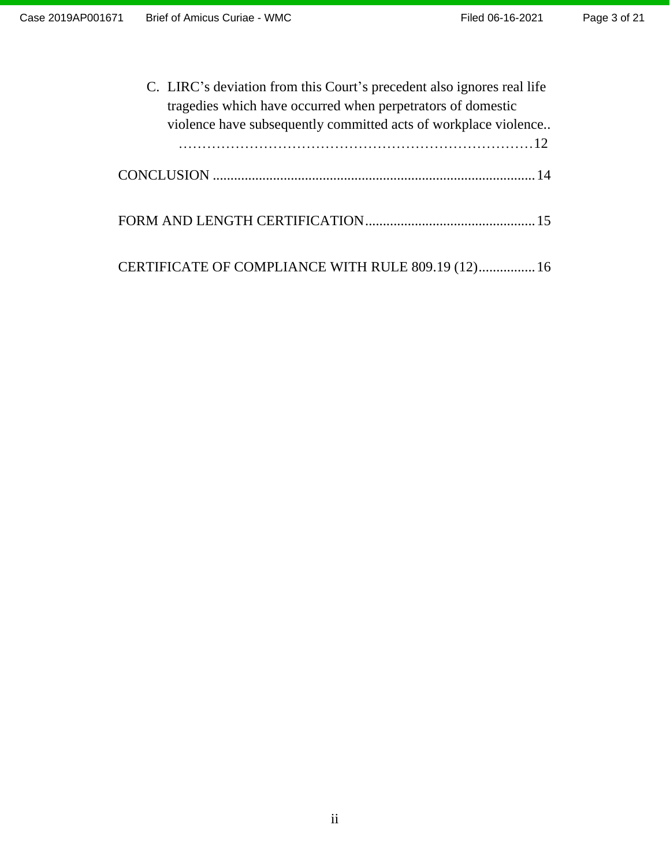<span id="page-2-0"></span>

| C. LIRC's deviation from this Court's precedent also ignores real life<br>tragedies which have occurred when perpetrators of domestic |  |
|---------------------------------------------------------------------------------------------------------------------------------------|--|
| violence have subsequently committed acts of workplace violence                                                                       |  |
|                                                                                                                                       |  |
|                                                                                                                                       |  |
|                                                                                                                                       |  |
| CERTIFICATE OF COMPLIANCE WITH RULE 809.19 (12) 16                                                                                    |  |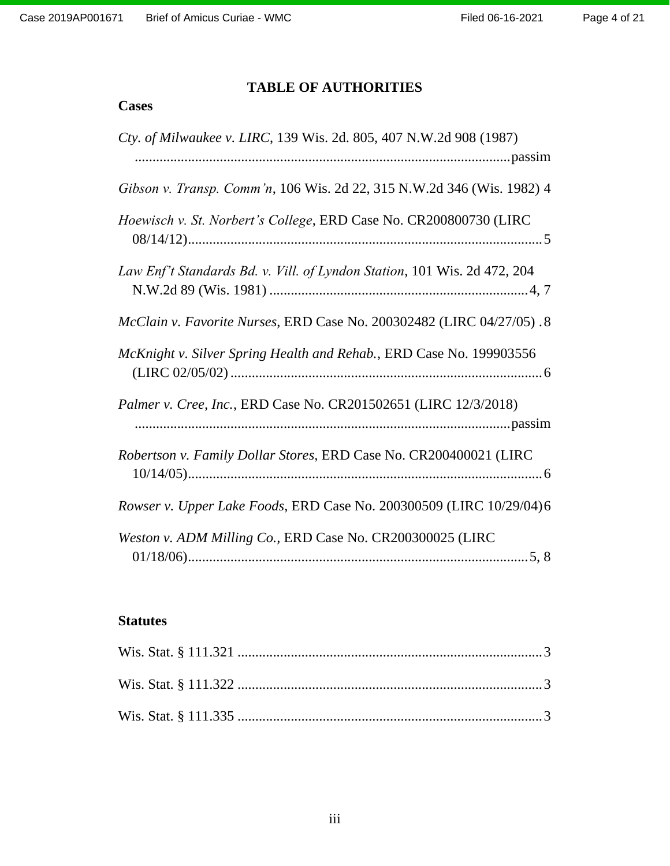## **TABLE OF AUTHORITIES**

## **Cases**

| Cty. of Milwaukee v. LIRC, 139 Wis. 2d. 805, 407 N.W.2d 908 (1987)       |
|--------------------------------------------------------------------------|
|                                                                          |
| Gibson v. Transp. Comm'n, 106 Wis. 2d 22, 315 N.W.2d 346 (Wis. 1982) 4   |
| Hoewisch v. St. Norbert's College, ERD Case No. CR200800730 (LIRC        |
| Law Enf't Standards Bd. v. Vill. of Lyndon Station, 101 Wis. 2d 472, 204 |
| McClain v. Favorite Nurses, ERD Case No. 200302482 (LIRC 04/27/05).8     |
| McKnight v. Silver Spring Health and Rehab., ERD Case No. 199903556      |
| Palmer v. Cree, Inc., ERD Case No. CR201502651 (LIRC 12/3/2018)          |
| Robertson v. Family Dollar Stores, ERD Case No. CR200400021 (LIRC        |
| Rowser v. Upper Lake Foods, ERD Case No. 200300509 (LIRC 10/29/04)6      |
| Weston v. ADM Milling Co., ERD Case No. CR200300025 (LIRC                |

## **Statutes**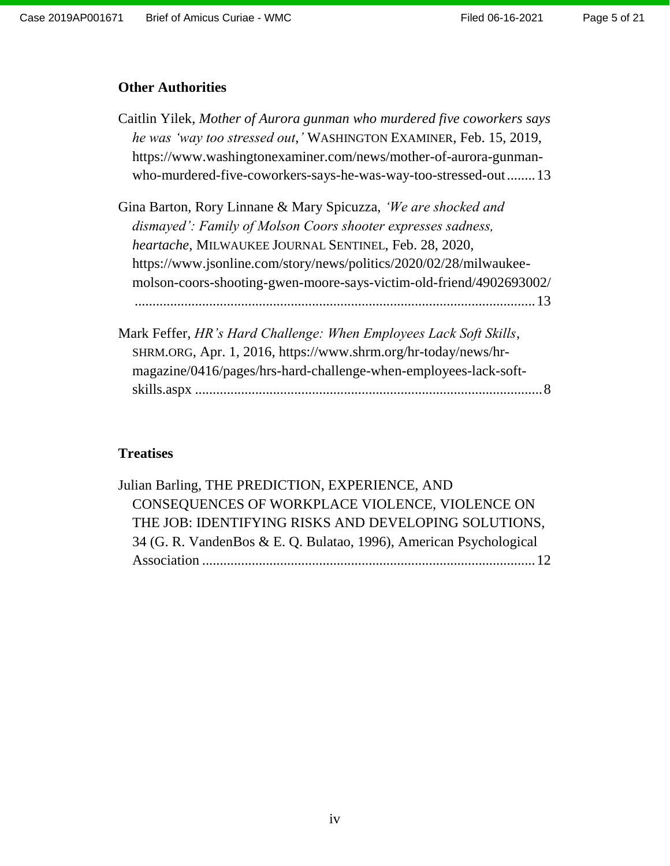### **Other Authorities**

| Caitlin Yilek, Mother of Aurora gunman who murdered five coworkers says |
|-------------------------------------------------------------------------|
| he was 'way too stressed out,' WASHINGTON EXAMINER, Feb. 15, 2019,      |
| https://www.washingtonexaminer.com/news/mother-of-aurora-gunman-        |
| who-murdered-five-coworkers-says-he-was-way-too-stressed-out 13         |

Gina Barton, Rory Linnane & Mary Spicuzza, *'We are shocked and dismayed': Family of Molson Coors shooter expresses sadness, heartache*, MILWAUKEE JOURNAL SENTINEL, Feb. 28, 2020, https://www.jsonline.com/story/news/politics/2020/02/28/milwaukeemolson-coors-shooting-gwen-moore-says-victim-old-friend/4902693002/ .................................................................................................................13

Mark Feffer, *HR's Hard Challenge: When Employees Lack Soft Skills*, SHRM.ORG, Apr. 1, 2016, https://www.shrm.org/hr-today/news/hrmagazine/0416/pages/hrs-hard-challenge-when-employees-lack-softskills.aspx ..................................................................................................8

### **Treatises**

| Julian Barling, THE PREDICTION, EXPERIENCE, AND                    |  |
|--------------------------------------------------------------------|--|
| CONSEQUENCES OF WORKPLACE VIOLENCE, VIOLENCE ON                    |  |
| THE JOB: IDENTIFYING RISKS AND DEVELOPING SOLUTIONS,               |  |
| 34 (G. R. VandenBos & E. Q. Bulatao, 1996), American Psychological |  |
|                                                                    |  |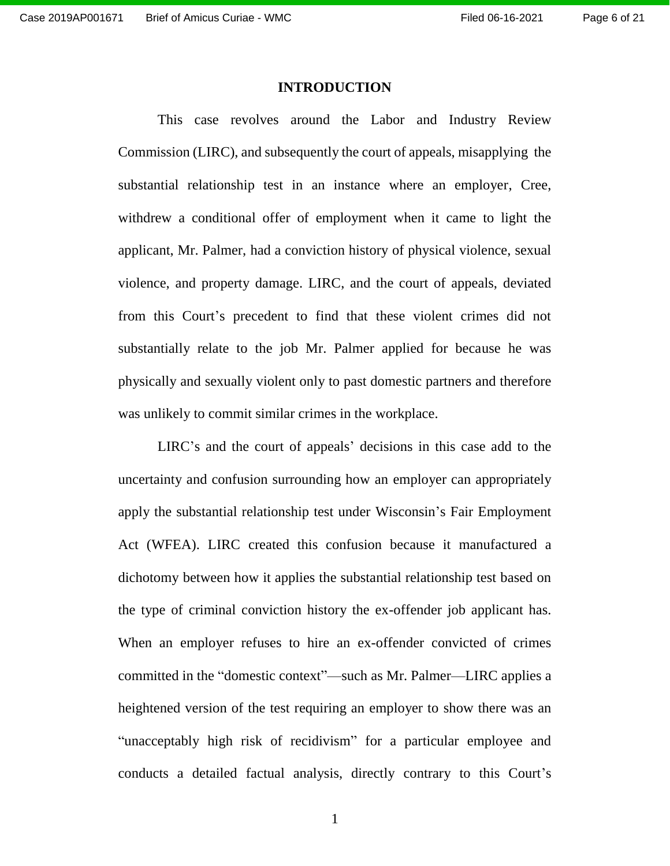#### **INTRODUCTION**

<span id="page-5-0"></span>This case revolves around the Labor and Industry Review Commission (LIRC), and subsequently the court of appeals, misapplying the substantial relationship test in an instance where an employer, Cree, withdrew a conditional offer of employment when it came to light the applicant, Mr. Palmer, had a conviction history of physical violence, sexual violence, and property damage. LIRC, and the court of appeals, deviated from this Court's precedent to find that these violent crimes did not substantially relate to the job Mr. Palmer applied for because he was physically and sexually violent only to past domestic partners and therefore was unlikely to commit similar crimes in the workplace.

LIRC's and the court of appeals' decisions in this case add to the uncertainty and confusion surrounding how an employer can appropriately apply the substantial relationship test under Wisconsin's Fair Employment Act (WFEA). LIRC created this confusion because it manufactured a dichotomy between how it applies the substantial relationship test based on the type of criminal conviction history the ex-offender job applicant has. When an employer refuses to hire an ex-offender convicted of crimes committed in the "domestic context"—such as Mr. Palmer—LIRC applies a heightened version of the test requiring an employer to show there was an "unacceptably high risk of recidivism" for a particular employee and conducts a detailed factual analysis, directly contrary to this Court's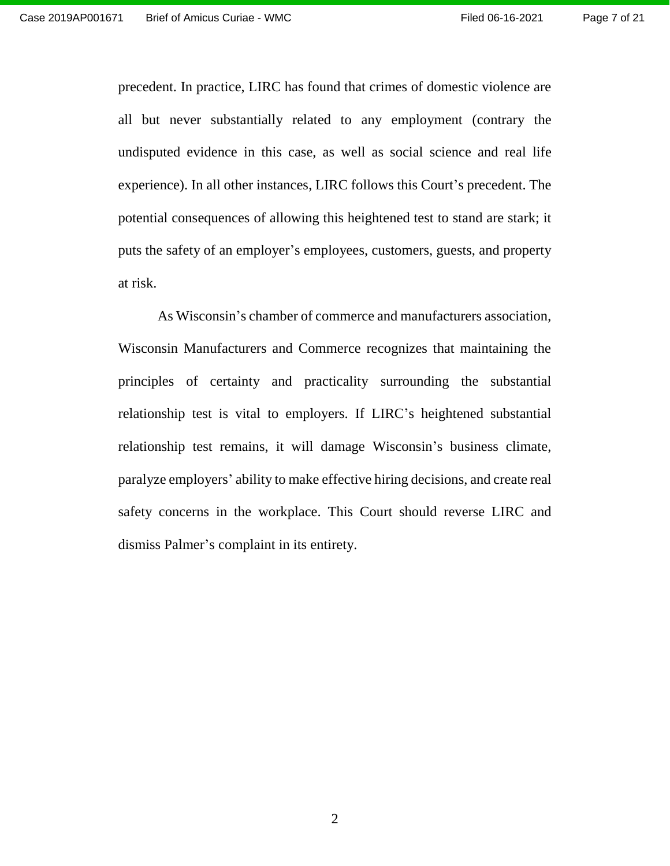precedent. In practice, LIRC has found that crimes of domestic violence are all but never substantially related to any employment (contrary the undisputed evidence in this case, as well as social science and real life experience). In all other instances, LIRC follows this Court's precedent. The potential consequences of allowing this heightened test to stand are stark; it puts the safety of an employer's employees, customers, guests, and property at risk.

As Wisconsin's chamber of commerce and manufacturers association, Wisconsin Manufacturers and Commerce recognizes that maintaining the principles of certainty and practicality surrounding the substantial relationship test is vital to employers. If LIRC's heightened substantial relationship test remains, it will damage Wisconsin's business climate, paralyze employers' ability to make effective hiring decisions, and create real safety concerns in the workplace. This Court should reverse LIRC and dismiss Palmer's complaint in its entirety.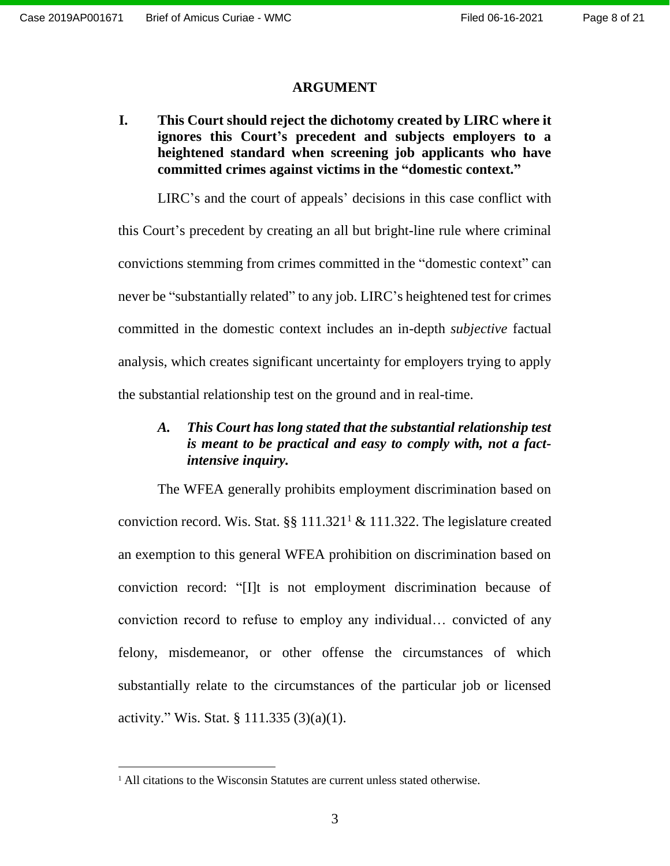#### **ARGUMENT**

<span id="page-7-1"></span><span id="page-7-0"></span>**I. This Court should reject the dichotomy created by LIRC where it ignores this Court's precedent and subjects employers to a heightened standard when screening job applicants who have committed crimes against victims in the "domestic context."**

LIRC's and the court of appeals' decisions in this case conflict with this Court's precedent by creating an all but bright-line rule where criminal convictions stemming from crimes committed in the "domestic context" can never be "substantially related" to any job. LIRC's heightened test for crimes committed in the domestic context includes an in-depth *subjective* factual analysis, which creates significant uncertainty for employers trying to apply the substantial relationship test on the ground and in real-time.

## <span id="page-7-2"></span>*A. This Court has long stated that the substantial relationship test is meant to be practical and easy to comply with, not a factintensive inquiry.*

The WFEA generally prohibits employment discrimination based on conviction record. Wis. Stat.  $\S$  111.321<sup>1</sup> & 111.322. The legislature created an exemption to this general WFEA prohibition on discrimination based on conviction record: "[I]t is not employment discrimination because of conviction record to refuse to employ any individual… convicted of any felony, misdemeanor, or other offense the circumstances of which substantially relate to the circumstances of the particular job or licensed activity." Wis. Stat. § 111.335 (3)(a)(1).

<sup>&</sup>lt;sup>1</sup> All citations to the Wisconsin Statutes are current unless stated otherwise.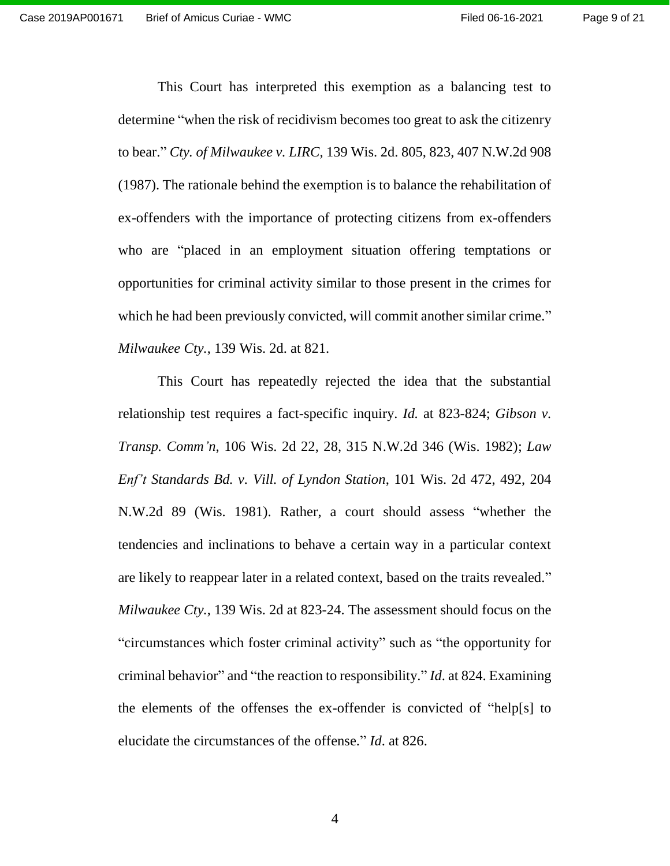This Court has interpreted this exemption as a balancing test to determine "when the risk of recidivism becomes too great to ask the citizenry to bear." *Cty. of Milwaukee v. LIRC*, 139 Wis. 2d. 805, 823, 407 N.W.2d 908 (1987). The rationale behind the exemption is to balance the rehabilitation of ex-offenders with the importance of protecting citizens from ex-offenders who are "placed in an employment situation offering temptations or opportunities for criminal activity similar to those present in the crimes for which he had been previously convicted, will commit another similar crime." *Milwaukee Cty.*, 139 Wis. 2d. at 821.

This Court has repeatedly rejected the idea that the substantial relationship test requires a fact-specific inquiry. *Id.* at 823-824; *Gibson v. Transp. Comm'n*, 106 Wis. 2d 22, 28, 315 N.W.2d 346 (Wis. 1982); *Law Enf't Standards Bd. v. Vill. of Lyndon Station*, 101 Wis. 2d 472, 492, 204 N.W.2d 89 (Wis. 1981). Rather, a court should assess "whether the tendencies and inclinations to behave a certain way in a particular context are likely to reappear later in a related context, based on the traits revealed." *Milwaukee Cty.*, 139 Wis. 2d at 823-24. The assessment should focus on the "circumstances which foster criminal activity" such as "the opportunity for criminal behavior" and "the reaction to responsibility." *Id*. at 824. Examining the elements of the offenses the ex-offender is convicted of "help[s] to elucidate the circumstances of the offense." *Id*. at 826.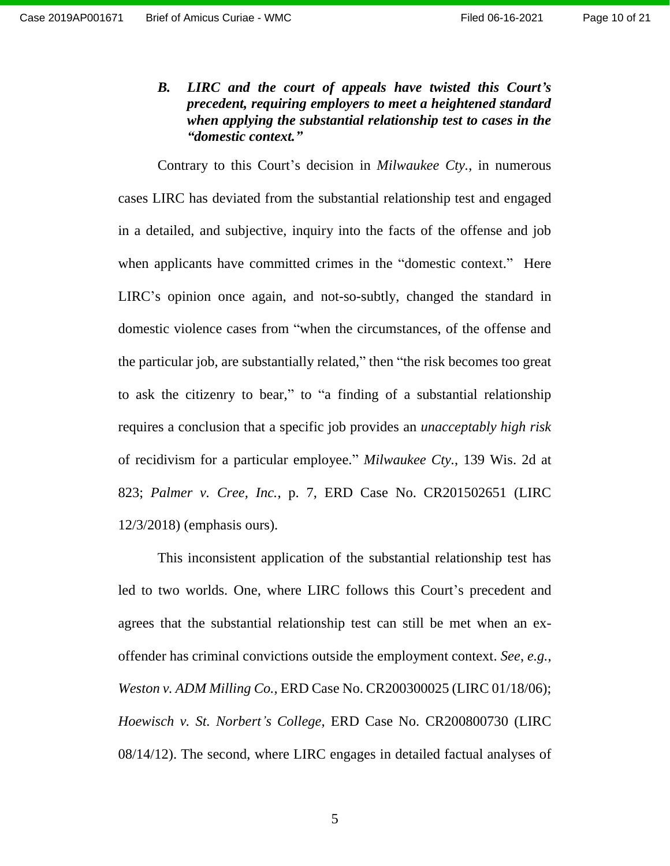<span id="page-9-0"></span>*B. LIRC and the court of appeals have twisted this Court's precedent, requiring employers to meet a heightened standard when applying the substantial relationship test to cases in the "domestic context."*

Contrary to this Court's decision in *Milwaukee Cty.*, in numerous cases LIRC has deviated from the substantial relationship test and engaged in a detailed, and subjective, inquiry into the facts of the offense and job when applicants have committed crimes in the "domestic context." Here LIRC's opinion once again, and not-so-subtly, changed the standard in domestic violence cases from "when the circumstances, of the offense and the particular job, are substantially related," then "the risk becomes too great to ask the citizenry to bear," to "a finding of a substantial relationship requires a conclusion that a specific job provides an *unacceptably high risk* of recidivism for a particular employee." *Milwaukee Cty.*, 139 Wis. 2d at 823; *Palmer v. Cree, Inc.*, p. 7, ERD Case No. CR201502651 (LIRC 12/3/2018) (emphasis ours).

This inconsistent application of the substantial relationship test has led to two worlds. One, where LIRC follows this Court's precedent and agrees that the substantial relationship test can still be met when an exoffender has criminal convictions outside the employment context. *See*, *e.g.*, *Weston v. ADM Milling Co.,* ERD Case No. CR200300025 (LIRC 01/18/06); *Hoewisch v. St. Norbert's College*, ERD Case No. CR200800730 (LIRC 08/14/12). The second, where LIRC engages in detailed factual analyses of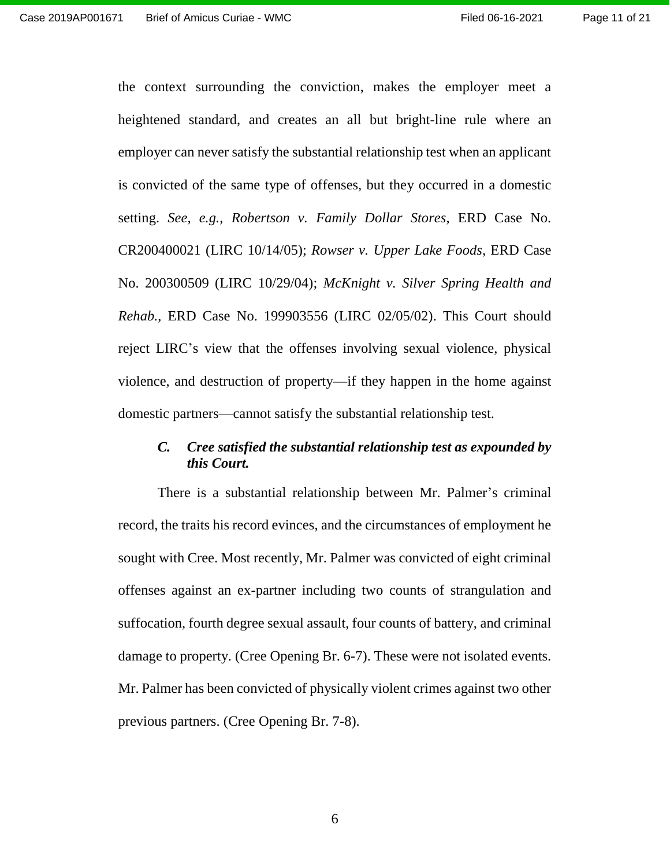the context surrounding the conviction, makes the employer meet a heightened standard, and creates an all but bright-line rule where an employer can never satisfy the substantial relationship test when an applicant is convicted of the same type of offenses, but they occurred in a domestic setting. *See, e.g.*, *Robertson v. Family Dollar Stores*, ERD Case No. CR200400021 (LIRC 10/14/05); *Rowser v. Upper Lake Foods*, ERD Case No. 200300509 (LIRC 10/29/04); *McKnight v. Silver Spring Health and Rehab.*, ERD Case No. 199903556 (LIRC 02/05/02). This Court should reject LIRC's view that the offenses involving sexual violence, physical violence, and destruction of property—if they happen in the home against domestic partners—cannot satisfy the substantial relationship test.

## <span id="page-10-0"></span>*C. Cree satisfied the substantial relationship test as expounded by this Court.*

There is a substantial relationship between Mr. Palmer's criminal record, the traits his record evinces, and the circumstances of employment he sought with Cree. Most recently, Mr. Palmer was convicted of eight criminal offenses against an ex-partner including two counts of strangulation and suffocation, fourth degree sexual assault, four counts of battery, and criminal damage to property. (Cree Opening Br. 6-7). These were not isolated events. Mr. Palmer has been convicted of physically violent crimes against two other previous partners. (Cree Opening Br. 7-8).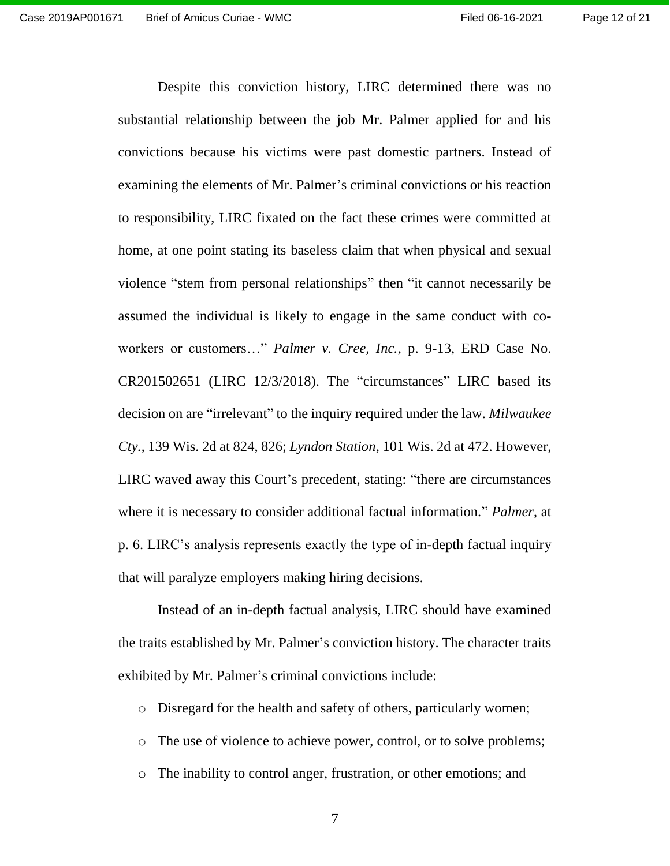Despite this conviction history, LIRC determined there was no substantial relationship between the job Mr. Palmer applied for and his convictions because his victims were past domestic partners. Instead of examining the elements of Mr. Palmer's criminal convictions or his reaction to responsibility, LIRC fixated on the fact these crimes were committed at home, at one point stating its baseless claim that when physical and sexual violence "stem from personal relationships" then "it cannot necessarily be assumed the individual is likely to engage in the same conduct with coworkers or customers…" *Palmer v. Cree, Inc.*, p. 9-13, ERD Case No. CR201502651 (LIRC 12/3/2018). The "circumstances" LIRC based its decision on are "irrelevant" to the inquiry required under the law. *Milwaukee Cty.*, 139 Wis. 2d at 824, 826; *Lyndon Station*, 101 Wis. 2d at 472. However, LIRC waved away this Court's precedent, stating: "there are circumstances where it is necessary to consider additional factual information." *Palmer*, at p. 6. LIRC's analysis represents exactly the type of in-depth factual inquiry that will paralyze employers making hiring decisions.

Instead of an in-depth factual analysis, LIRC should have examined the traits established by Mr. Palmer's conviction history. The character traits exhibited by Mr. Palmer's criminal convictions include:

o Disregard for the health and safety of others, particularly women;

- o The use of violence to achieve power, control, or to solve problems;
- o The inability to control anger, frustration, or other emotions; and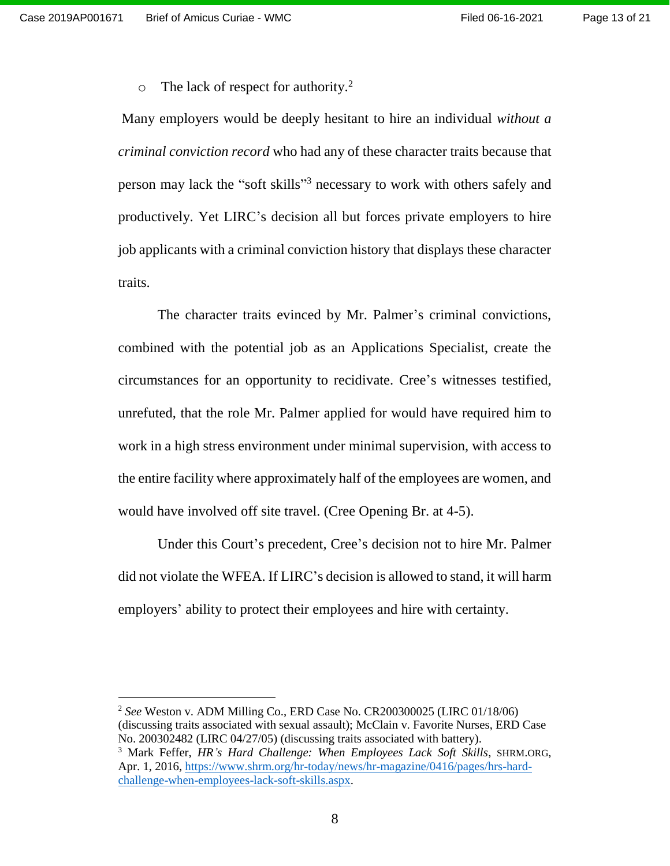$\overline{a}$ 

 $\circ$  The lack of respect for authority.<sup>2</sup>

Many employers would be deeply hesitant to hire an individual *without a criminal conviction record* who had any of these character traits because that person may lack the "soft skills"<sup>3</sup> necessary to work with others safely and productively. Yet LIRC's decision all but forces private employers to hire job applicants with a criminal conviction history that displays these character traits.

The character traits evinced by Mr. Palmer's criminal convictions, combined with the potential job as an Applications Specialist, create the circumstances for an opportunity to recidivate. Cree's witnesses testified, unrefuted, that the role Mr. Palmer applied for would have required him to work in a high stress environment under minimal supervision, with access to the entire facility where approximately half of the employees are women, and would have involved off site travel. (Cree Opening Br. at 4-5).

Under this Court's precedent, Cree's decision not to hire Mr. Palmer did not violate the WFEA. If LIRC's decision is allowed to stand, it will harm employers' ability to protect their employees and hire with certainty.

<sup>2</sup> *See* Weston v. ADM Milling Co., ERD Case No. CR200300025 (LIRC 01/18/06) (discussing traits associated with sexual assault); McClain v. Favorite Nurses, ERD Case No. 200302482 (LIRC 04/27/05) (discussing traits associated with battery).

<sup>3</sup> Mark Feffer, *HR's Hard Challenge: When Employees Lack Soft Skills*, SHRM.ORG, Apr. 1, 2016, [https://www.shrm.org/hr-today/news/hr-magazine/0416/pages/hrs-hard](https://www.shrm.org/hr-today/news/hr-magazine/0416/pages/hrs-hard-challenge-when-employees-lack-soft-skills.aspx)[challenge-when-employees-lack-soft-skills.aspx.](https://www.shrm.org/hr-today/news/hr-magazine/0416/pages/hrs-hard-challenge-when-employees-lack-soft-skills.aspx)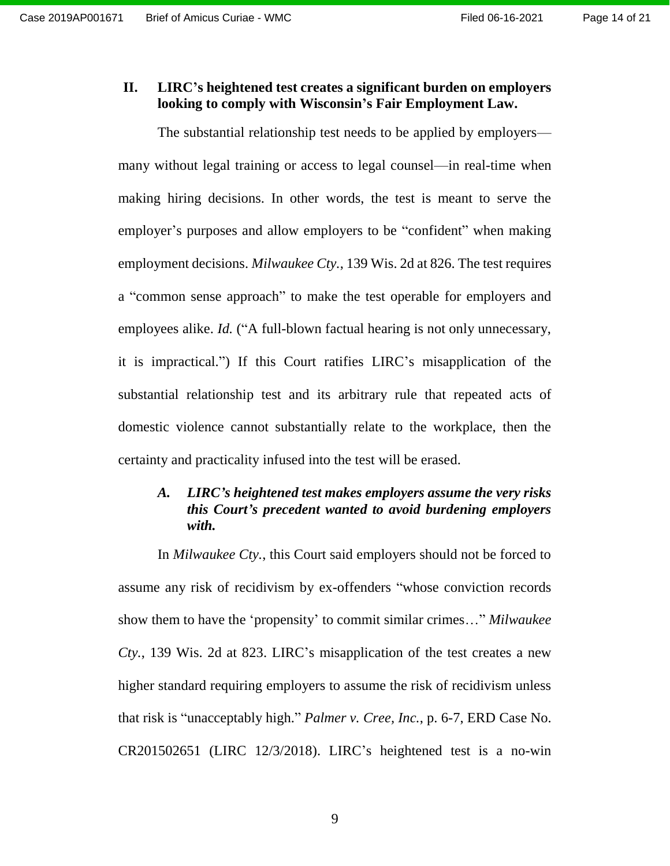### <span id="page-13-0"></span>**II. LIRC's heightened test creates a significant burden on employers looking to comply with Wisconsin's Fair Employment Law.**

The substantial relationship test needs to be applied by employers many without legal training or access to legal counsel—in real-time when making hiring decisions. In other words, the test is meant to serve the employer's purposes and allow employers to be "confident" when making employment decisions. *Milwaukee Cty.*, 139 Wis. 2d at 826. The test requires a "common sense approach" to make the test operable for employers and employees alike. *Id.* ("A full-blown factual hearing is not only unnecessary, it is impractical.") If this Court ratifies LIRC's misapplication of the substantial relationship test and its arbitrary rule that repeated acts of domestic violence cannot substantially relate to the workplace, then the certainty and practicality infused into the test will be erased.

### <span id="page-13-1"></span>*A. LIRC's heightened test makes employers assume the very risks this Court's precedent wanted to avoid burdening employers with.*

In *Milwaukee Cty.*, this Court said employers should not be forced to assume any risk of recidivism by ex-offenders "whose conviction records show them to have the 'propensity' to commit similar crimes…" *Milwaukee Cty.*, 139 Wis. 2d at 823. LIRC's misapplication of the test creates a new higher standard requiring employers to assume the risk of recidivism unless that risk is "unacceptably high." *Palmer v. Cree, Inc.*, p. 6-7, ERD Case No. CR201502651 (LIRC 12/3/2018). LIRC's heightened test is a no-win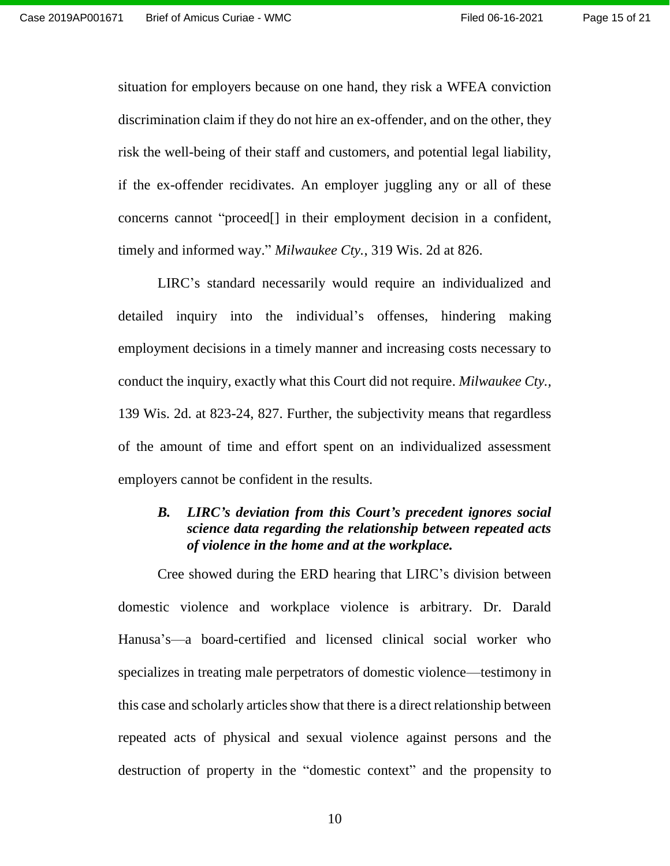situation for employers because on one hand, they risk a WFEA conviction discrimination claim if they do not hire an ex-offender, and on the other, they risk the well-being of their staff and customers, and potential legal liability, if the ex-offender recidivates. An employer juggling any or all of these concerns cannot "proceed[] in their employment decision in a confident, timely and informed way." *Milwaukee Cty.*, 319 Wis. 2d at 826.

LIRC's standard necessarily would require an individualized and detailed inquiry into the individual's offenses, hindering making employment decisions in a timely manner and increasing costs necessary to conduct the inquiry, exactly what this Court did not require. *Milwaukee Cty.,*  139 Wis. 2d. at 823-24, 827. Further, the subjectivity means that regardless of the amount of time and effort spent on an individualized assessment employers cannot be confident in the results.

## <span id="page-14-0"></span>*B. LIRC's deviation from this Court's precedent ignores social science data regarding the relationship between repeated acts of violence in the home and at the workplace.*

Cree showed during the ERD hearing that LIRC's division between domestic violence and workplace violence is arbitrary. Dr. Darald Hanusa's—a board-certified and licensed clinical social worker who specializes in treating male perpetrators of domestic violence—testimony in this case and scholarly articles show that there is a direct relationship between repeated acts of physical and sexual violence against persons and the destruction of property in the "domestic context" and the propensity to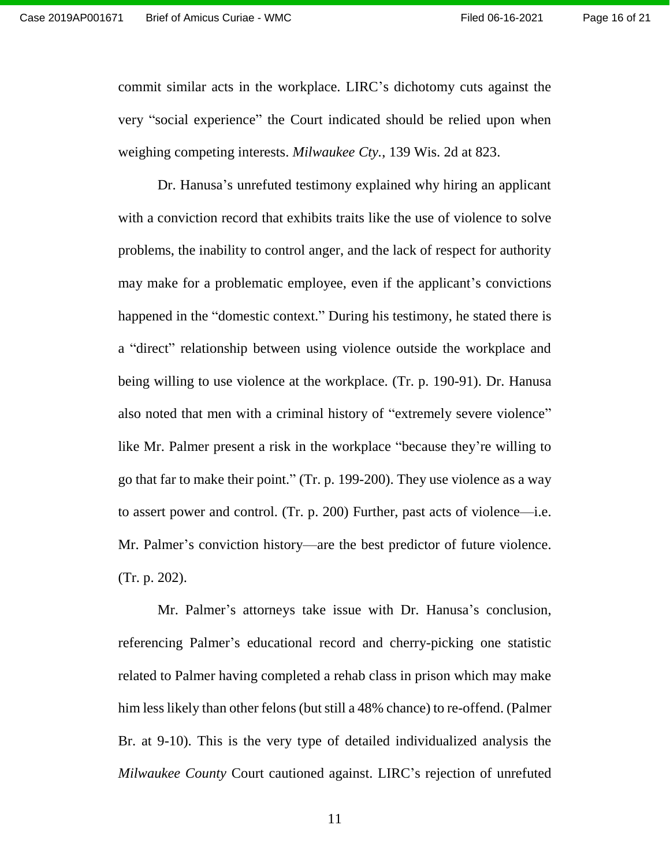commit similar acts in the workplace. LIRC's dichotomy cuts against the very "social experience" the Court indicated should be relied upon when weighing competing interests. *Milwaukee Cty.*, 139 Wis. 2d at 823.

Dr. Hanusa's unrefuted testimony explained why hiring an applicant with a conviction record that exhibits traits like the use of violence to solve problems, the inability to control anger, and the lack of respect for authority may make for a problematic employee, even if the applicant's convictions happened in the "domestic context." During his testimony, he stated there is a "direct" relationship between using violence outside the workplace and being willing to use violence at the workplace. (Tr. p. 190-91). Dr. Hanusa also noted that men with a criminal history of "extremely severe violence" like Mr. Palmer present a risk in the workplace "because they're willing to go that far to make their point." (Tr. p. 199-200). They use violence as a way to assert power and control. (Tr. p. 200) Further, past acts of violence—i.e. Mr. Palmer's conviction history—are the best predictor of future violence. (Tr. p. 202).

Mr. Palmer's attorneys take issue with Dr. Hanusa's conclusion, referencing Palmer's educational record and cherry-picking one statistic related to Palmer having completed a rehab class in prison which may make him less likely than other felons (but still a 48% chance) to re-offend. (Palmer Br. at 9-10). This is the very type of detailed individualized analysis the *Milwaukee County* Court cautioned against. LIRC's rejection of unrefuted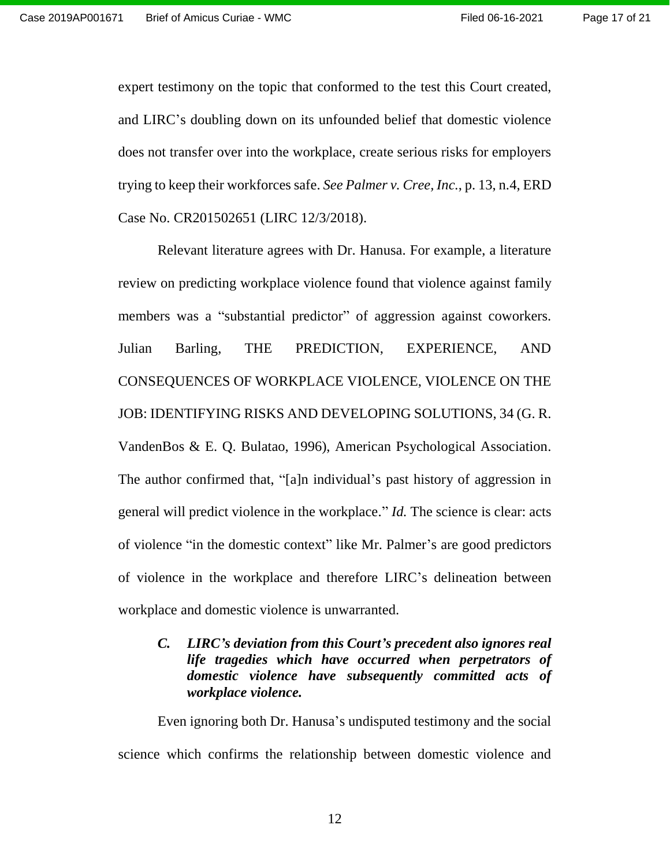expert testimony on the topic that conformed to the test this Court created, and LIRC's doubling down on its unfounded belief that domestic violence does not transfer over into the workplace, create serious risks for employers trying to keep their workforces safe. *See Palmer v. Cree, Inc.*, p. 13, n.4, ERD Case No. CR201502651 (LIRC 12/3/2018).

Relevant literature agrees with Dr. Hanusa. For example, a literature review on predicting workplace violence found that violence against family members was a "substantial predictor" of aggression against coworkers. Julian Barling, THE PREDICTION, EXPERIENCE, AND CONSEQUENCES OF WORKPLACE VIOLENCE, VIOLENCE ON THE JOB: IDENTIFYING RISKS AND DEVELOPING SOLUTIONS, 34 (G. R. VandenBos & E. Q. Bulatao, 1996), American Psychological Association. The author confirmed that, "[a]n individual's past history of aggression in general will predict violence in the workplace." *Id.* The science is clear: acts of violence "in the domestic context" like Mr. Palmer's are good predictors of violence in the workplace and therefore LIRC's delineation between workplace and domestic violence is unwarranted.

<span id="page-16-0"></span>*C. LIRC's deviation from this Court's precedent also ignores real life tragedies which have occurred when perpetrators of domestic violence have subsequently committed acts of workplace violence.*

Even ignoring both Dr. Hanusa's undisputed testimony and the social science which confirms the relationship between domestic violence and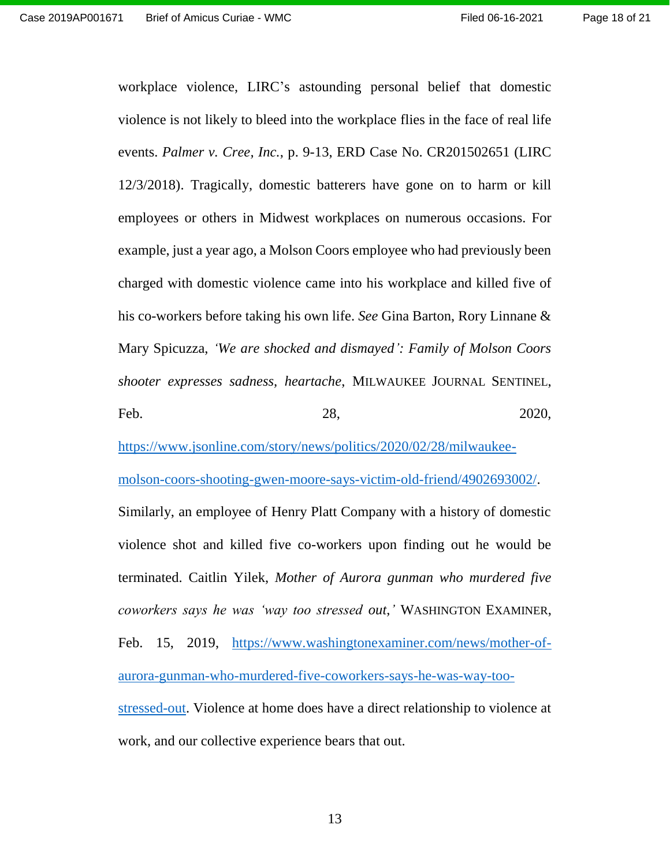workplace violence, LIRC's astounding personal belief that domestic violence is not likely to bleed into the workplace flies in the face of real life events. *Palmer v. Cree, Inc.*, p. 9-13, ERD Case No. CR201502651 (LIRC 12/3/2018). Tragically, domestic batterers have gone on to harm or kill employees or others in Midwest workplaces on numerous occasions. For example, just a year ago, a Molson Coors employee who had previously been charged with domestic violence came into his workplace and killed five of his co-workers before taking his own life. *See* Gina Barton, Rory Linnane & Mary Spicuzza, *'We are shocked and dismayed': Family of Molson Coors shooter expresses sadness, heartache*, MILWAUKEE JOURNAL SENTINEL, Feb. 28, 2020,

[https://www.jsonline.com/story/news/politics/2020/02/28/milwaukee-](https://www.jsonline.com/story/news/politics/2020/02/28/milwaukee-molson-coors-shooting-gwen-moore-says-victim-old-friend/4902693002/)

[molson-coors-shooting-gwen-moore-says-victim-old-friend/4902693002/.](https://www.jsonline.com/story/news/politics/2020/02/28/milwaukee-molson-coors-shooting-gwen-moore-says-victim-old-friend/4902693002/)

Similarly, an employee of Henry Platt Company with a history of domestic violence shot and killed five co-workers upon finding out he would be terminated. Caitlin Yilek, *Mother of Aurora gunman who murdered five coworkers says he was 'way too stressed out*,*'* WASHINGTON EXAMINER, Feb. 15, 2019, [https://www.washingtonexaminer.com/news/mother-of](https://www.washingtonexaminer.com/news/mother-of-aurora-gunman-who-murdered-five-coworkers-says-he-was-way-too-stressed-out)[aurora-gunman-who-murdered-five-coworkers-says-he-was-way-too](https://www.washingtonexaminer.com/news/mother-of-aurora-gunman-who-murdered-five-coworkers-says-he-was-way-too-stressed-out)[stressed-out.](https://www.washingtonexaminer.com/news/mother-of-aurora-gunman-who-murdered-five-coworkers-says-he-was-way-too-stressed-out) Violence at home does have a direct relationship to violence at work, and our collective experience bears that out.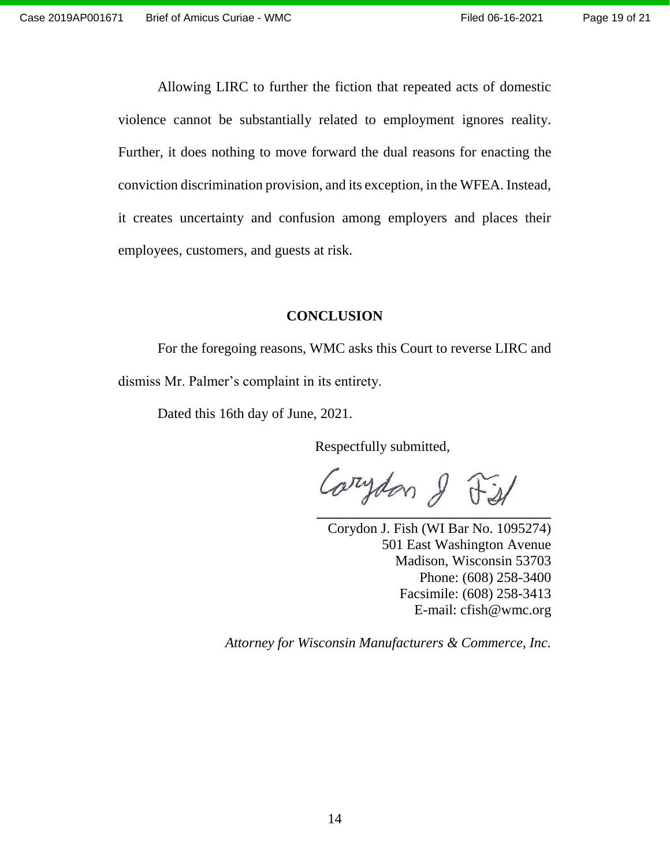Allowing LIRC to further the fiction that repeated acts of domestic violence cannot be substantially related to employment ignores reality. Further, it does nothing to move forward the dual reasons for enacting the conviction discrimination provision, and its exception, in the WFEA. Instead, it creates uncertainty and confusion among employers and places their employees, customers, and guests at risk.

### <span id="page-18-0"></span>**CONCLUSION**

For the foregoing reasons, WMC asks this Court to reverse LIRC and dismiss Mr. Palmer's complaint in its entirety.

Dated this 16th day of June, 2021.

Respectfully submitted,

**\_\_\_\_\_\_\_\_\_\_\_\_\_\_\_\_\_\_\_\_\_\_\_\_\_\_\_\_\_\_\_\_\_**

Corydon J. Fish (WI Bar No. 1095274) 501 East Washington Avenue Madison, Wisconsin 53703 Phone: (608) 258-3400 Facsimile: (608) 258-3413 E-mail: cfish@wmc.org

 *Attorney for Wisconsin Manufacturers & Commerce, Inc.*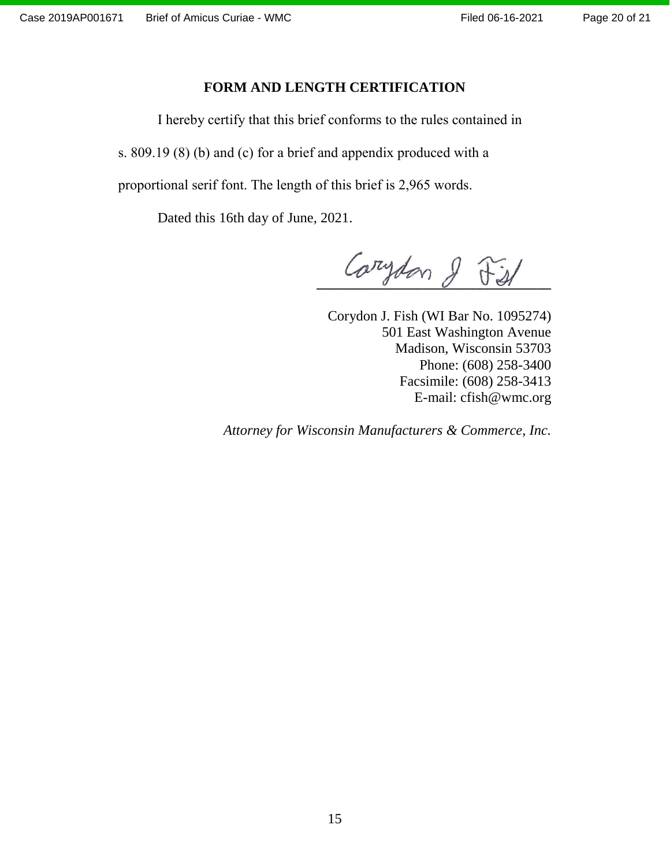#### Page 20 of 21

### **FORM AND LENGTH CERTIFICATION**

<span id="page-19-0"></span>I hereby certify that this brief conforms to the rules contained in

s. 809.19 (8) (b) and (c) for a brief and appendix produced with a

proportional serif font. The length of this brief is 2,965 words.

Dated this 16th day of June, 2021.

Carydon & Fist

Corydon J. Fish (WI Bar No. 1095274) 501 East Washington Avenue Madison, Wisconsin 53703 Phone: (608) 258-3400 Facsimile: (608) 258-3413 E-mail: cfish@wmc.org

*Attorney for Wisconsin Manufacturers & Commerce, Inc.*